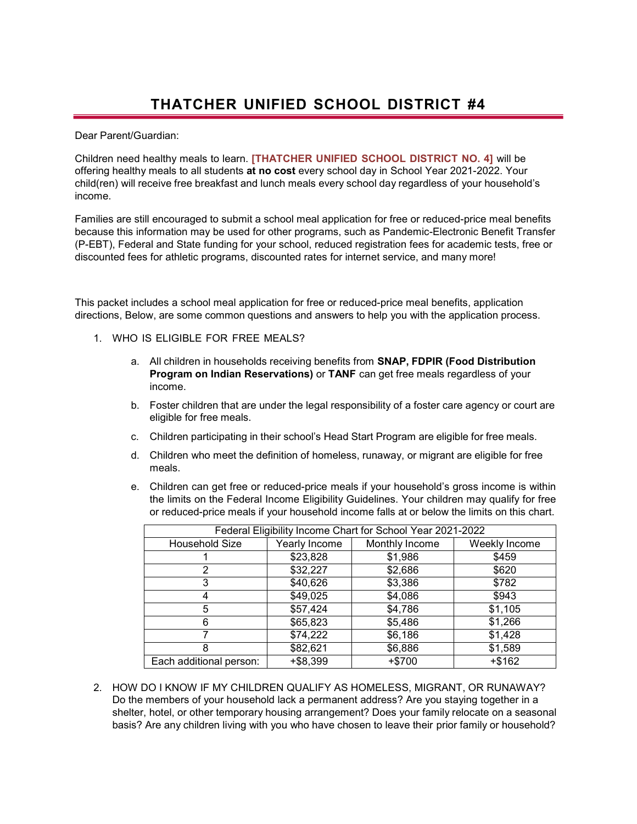Dear Parent/Guardian:

Children need healthy meals to learn. **[THATCHER UNIFIED SCHOOL DISTRICT NO. 4]** will be offering healthy meals to all students **at no cost** every school day in School Year 2021-2022. Your child(ren) will receive free breakfast and lunch meals every school day regardless of your household's income.

Families are still encouraged to submit a school meal application for free or reduced-price meal benefits because this information may be used for other programs, such as Pandemic-Electronic Benefit Transfer (P-EBT), Federal and State funding for your school, reduced registration fees for academic tests, free or discounted fees for athletic programs, discounted rates for internet service, and many more!

This packet includes a school meal application for free or reduced-price meal benefits, application directions, Below, are some common questions and answers to help you with the application process.

- 1. WHO IS ELIGIBLE FOR FREE MEALS?
	- a. All children in households receiving benefits from **SNAP, FDPIR (Food Distribution Program on Indian Reservations)** or **TANF** can get free meals regardless of your income.
	- b. Foster children that are under the legal responsibility of a foster care agency or court are eligible for free meals.
	- c. Children participating in their school's Head Start Program are eligible for free meals.
	- d. Children who meet the definition of homeless, runaway, or migrant are eligible for free meals.
	- e. Children can get free or reduced-price meals if your household's gross income is within the limits on the Federal Income Eligibility Guidelines. Your children may qualify for free or reduced-price meals if your household income falls at or below the limits on this chart.

| Federal Eligibility Income Chart for School Year 2021-2022 |               |                |               |  |  |  |
|------------------------------------------------------------|---------------|----------------|---------------|--|--|--|
| Household Size                                             | Yearly Income | Monthly Income | Weekly Income |  |  |  |
|                                                            | \$23,828      | \$1,986        | \$459         |  |  |  |
|                                                            | \$32,227      | \$2,686        | \$620         |  |  |  |
|                                                            | \$40,626      | \$3,386        | \$782         |  |  |  |
|                                                            | \$49,025      | \$4,086        | \$943         |  |  |  |
| 5                                                          | \$57,424      | \$4,786        | \$1,105       |  |  |  |
| 6                                                          | \$65,823      | \$5,486        | \$1,266       |  |  |  |
|                                                            | \$74,222      | \$6,186        | \$1,428       |  |  |  |
|                                                            | \$82,621      | \$6,886        | \$1,589       |  |  |  |
| Each additional person:                                    | $+ $8,399$    | $+ $700$       | +\$162        |  |  |  |

2. HOW DO I KNOW IF MY CHILDREN QUALIFY AS HOMELESS, MIGRANT, OR RUNAWAY? Do the members of your household lack a permanent address? Are you staying together in a shelter, hotel, or other temporary housing arrangement? Does your family relocate on a seasonal basis? Are any children living with you who have chosen to leave their prior family or household?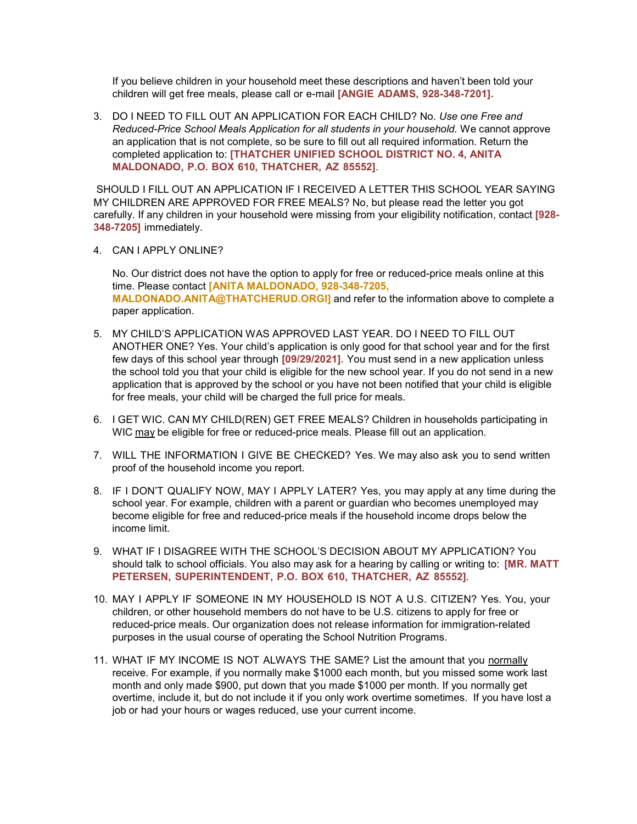If you believe children in your household meet these descriptions and haven't been told your children will get free meals, please call or e-mail **[ANGIE ADAMS, 928-348-7201].**

3. DO I NEED TO FILL OUT AN APPLICATION FOR EACH CHILD? No. *Use one Free and Reduced-Price School Meals Application for all students in your household.* We cannot approve an application that is not complete, so be sure to fill out all required information. Return the completed application to: **[THATCHER UNIFIED SCHOOL DISTRICT NO. 4, ANITA MALDONADO, P.O. BOX 610, THATCHER, AZ 85552]**.

SHOULD I FILL OUT AN APPLICATION IF I RECEIVED A LETTER THIS SCHOOL YEAR SAYING MY CHILDREN ARE APPROVED FOR FREE MEALS? No, but please read the letter you got carefully. If any children in your household were missing from your eligibility notification, contact **[928- 348-7205]** immediately.

4. CAN I APPLY ONLINE?

No. Our district does not have the option to apply for free or reduced-price meals online at this time. Please contact **[ANITA MALDONADO, 928-348-7205, [MALDONADO.ANITA@THATCHERUD.ORGl\]](mailto:MALDONADO.ANITA@THATCHERUD.ORGl)** and refer to the information above to complete a paper application.

- 5. MY CHILD'S APPLICATION WAS APPROVED LAST YEAR. DO I NEED TO FILL OUT ANOTHER ONE? Yes. Your child's application is only good for that school year and for the first few days of this school year through **[09/29/2021]**. You must send in a new application unless the school told you that your child is eligible for the new school year. If you do not send in a new application that is approved by the school or you have not been notified that your child is eligible for free meals, your child will be charged the full price for meals.
- 6. I GET WIC. CAN MY CHILD(REN) GET FREE MEALS? Children in households participating in WIC may be eligible for free or reduced-price meals. Please fill out an application.
- 7. WILL THE INFORMATION I GIVE BE CHECKED? Yes. We may also ask you to send written proof of the household income you report.
- 8. IF I DON'T QUALIFY NOW, MAY I APPLY LATER? Yes, you may apply at any time during the school year. For example, children with a parent or guardian who becomes unemployed may become eligible for free and reduced-price meals if the household income drops below the income limit.
- 9. WHAT IF I DISAGREE WITH THE SCHOOL'S DECISION ABOUT MY APPLICATION? You should talk to school officials. You also may ask for a hearing by calling or writing to: **[MR. MATT PETERSEN, SUPERINTENDENT, P.O. BOX 610, THATCHER, AZ 85552]***.*
- 10. MAY I APPLY IF SOMEONE IN MY HOUSEHOLD IS NOT A U.S. CITIZEN? Yes. You, your children, or other household members do not have to be U.S. citizens to apply for free or reduced-price meals. Our organization does not release information for immigration-related purposes in the usual course of operating the School Nutrition Programs.
- 11. WHAT IF MY INCOME IS NOT ALWAYS THE SAME? List the amount that you normally receive. For example, if you normally make \$1000 each month, but you missed some work last month and only made \$900, put down that you made \$1000 per month. If you normally get overtime, include it, but do not include it if you only work overtime sometimes. If you have lost a job or had your hours or wages reduced, use your current income.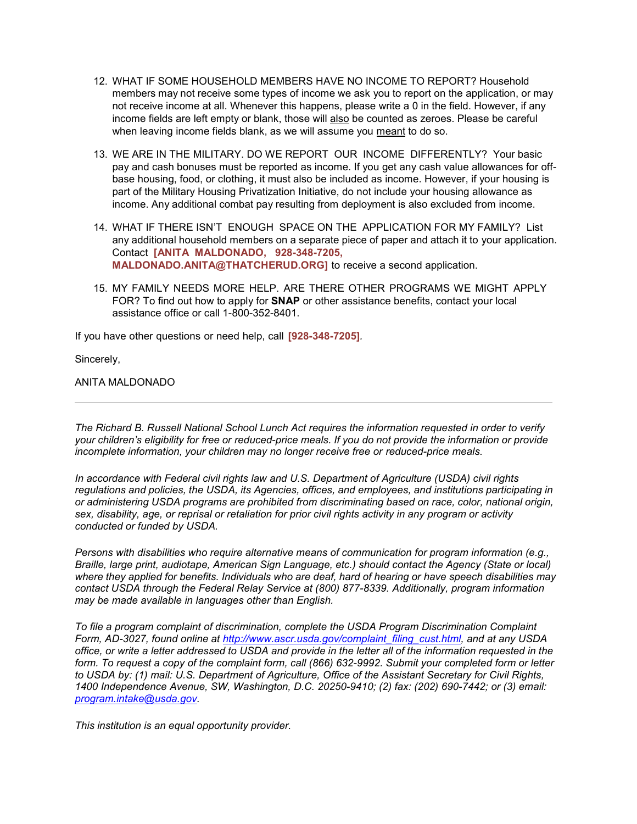- 12. WHAT IF SOME HOUSEHOLD MEMBERS HAVE NO INCOME TO REPORT? Household members may not receive some types of income we ask you to report on the application, or may not receive income at all. Whenever this happens, please write a 0 in the field. However, if any income fields are left empty or blank, those will also be counted as zeroes. Please be careful when leaving income fields blank, as we will assume you meant to do so.
- 13. WE ARE IN THE MILITARY. DO WE REPORT OUR INCOME DIFFERENTLY? Your basic pay and cash bonuses must be reported as income. If you get any cash value allowances for offbase housing, food, or clothing, it must also be included as income. However, if your housing is part of the Military Housing Privatization Initiative, do not include your housing allowance as income. Any additional combat pay resulting from deployment is also excluded from income.
- 14. WHAT IF THERE ISN'T ENOUGH SPACE ON THE APPLICATION FOR MY FAMILY? List any additional household members on a separate piece of paper and attach it to your application. Contact **[ANITA MALDONADO, 928-348-7205, [MALDONADO.ANITA@THATCHERUD.ORG\]](mailto:MALDONADO.ANITA@THATCHERUD.ORG)** to receive a second application.
- 15. MY FAMILY NEEDS MORE HELP. ARE THERE OTHER PROGRAMS WE MIGHT APPLY FOR? To find out how to apply for **SNAP** or other assistance benefits, contact your local assistance office or call 1-800-352-8401.

If you have other questions or need help, call **[928-348-7205]***.*

Sincerely,

ANITA MALDONADO

*The Richard B. Russell National School Lunch Act requires the information requested in order to verify* your children's eligibility for free or reduced-price meals. If you do not provide the information or provide *incomplete information, your children may no longer receive free or reduced-price meals.*

*In accordance with Federal civil rights law and U.S. Department of Agriculture (USDA) civil rights regulations and policies, the USDA, its Agencies, offices, and employees, and institutions participating in or administering USDA programs are prohibited from discriminating based on race, color, national origin, sex, disability, age, or reprisal or retaliation for prior civil rights activity in any program or activity conducted or funded by USDA.*

*Persons with disabilities who require alternative means of communication for program information (e.g., Braille, large print, audiotape, American Sign Language, etc.) should contact the Agency (State or local) where they applied for benefits. Individuals who are deaf, hard of hearing or have speech disabilities may contact USDA through the Federal Relay Service at (800) 877-8339. Additionally, program information may be made available in languages other than English.*

*To file a program complaint of discrimination, complete the USDA Program Discrimination Complaint Form, AD-3027, found online at [http://www.ascr.usda.gov/complaint\\_filing\\_cust.html, a](http://www.ascr.usda.gov/complaint_filing_cust.html)nd at any USDA office, or write a letter addressed to USDA and provide in the letter all of the information requested in the form. To request a copy of the complaint form, call (866) 632-9992. Submit your completed form or letter to USDA by: (1) mail: U.S. Department of Agriculture, Office of the Assistant Secretary for Civil Rights, 1400 Independence Avenue, SW, Washington, D.C. 20250-9410; (2) fax: (202) 690-7442; or (3) email: [program.intake@usda.gov.](mailto:program.intake@usda.gov)*

*This institution is an equal opportunity provider.*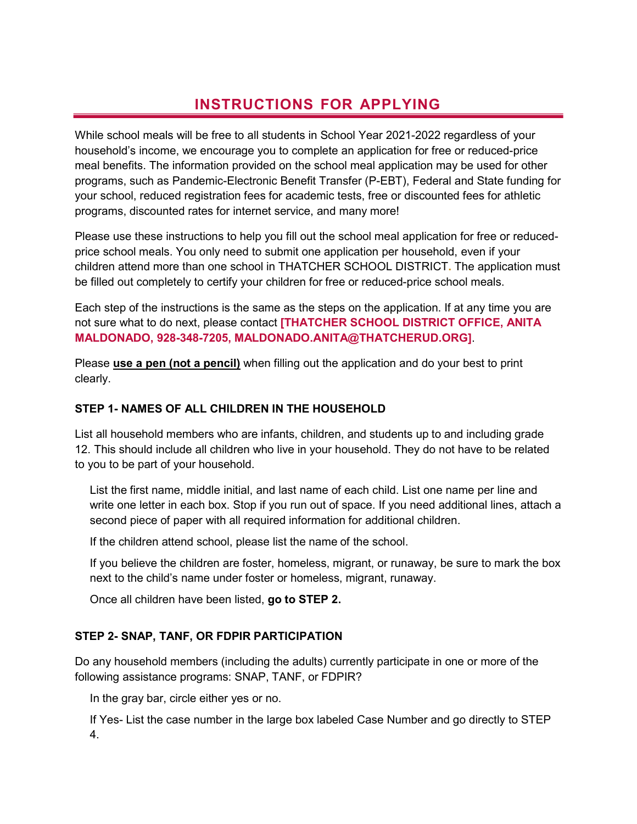# **INSTRUCTIONS FOR APPLYING**

While school meals will be free to all students in School Year 2021-2022 regardless of your household's income, we encourage you to complete an application for free or reduced-price meal benefits. The information provided on the school meal application may be used for other programs, such as Pandemic-Electronic Benefit Transfer (P-EBT), Federal and State funding for your school, reduced registration fees for academic tests, free or discounted fees for athletic programs, discounted rates for internet service, and many more!

Please use these instructions to help you fill out the school meal application for free or reducedprice school meals. You only need to submit one application per household, even if your children attend more than one school in THATCHER SCHOOL DISTRICT**.** The application must be filled out completely to certify your children for free or reduced-price school meals.

Each step of the instructions is the same as the steps on the application. If at any time you are not sure what to do next, please contact **[THATCHER SCHOOL DISTRICT OFFICE, ANITA MALDONADO, 928-348-7205, [MALDONADO.ANITA@THATCHERUD.ORG\]](mailto:MALDONADO.ANITA@THATCHERUD.ORG)**.

Please **use a pen (not a pencil)** when filling out the application and do your best to print clearly.

#### **STEP 1- NAMES OF ALL CHILDREN IN THE HOUSEHOLD**

List all household members who are infants, children, and students up to and including grade 12. This should include all children who live in your household. They do not have to be related to you to be part of your household.

List the first name, middle initial, and last name of each child. List one name per line and write one letter in each box. Stop if you run out of space. If you need additional lines, attach a second piece of paper with all required information for additional children.

If the children attend school, please list the name of the school.

If you believe the children are foster, homeless, migrant, or runaway, be sure to mark the box next to the child's name under foster or homeless, migrant, runaway.

Once all children have been listed, **go to STEP 2.**

#### **STEP 2- SNAP, TANF, OR FDPIR PARTICIPATION**

Do any household members (including the adults) currently participate in one or more of the following assistance programs: SNAP, TANF, or FDPIR?

In the gray bar, circle either yes or no.

If Yes- List the case number in the large box labeled Case Number and go directly to STEP 4.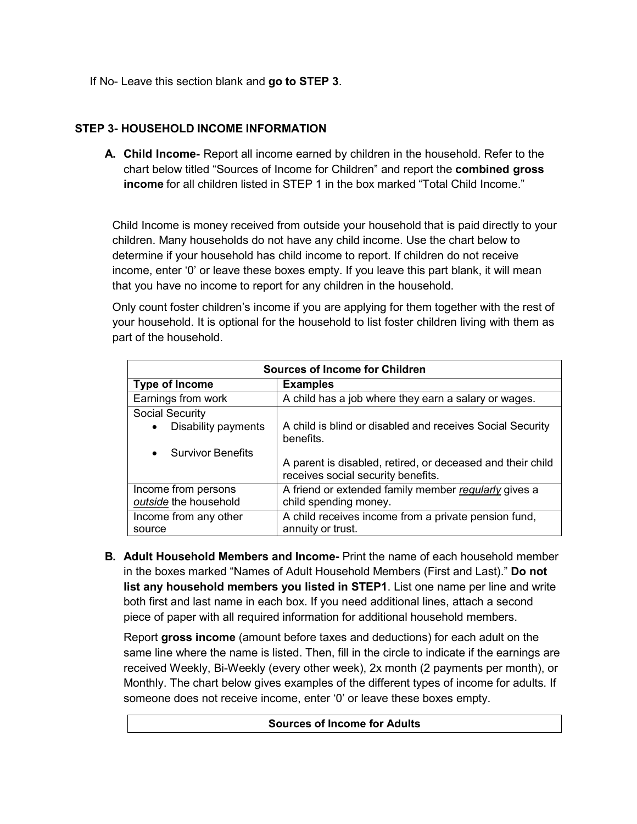If No- Leave this section blank and **go to STEP 3**.

#### **STEP 3- HOUSEHOLD INCOME INFORMATION**

**A. Child Income-** Report all income earned by children in the household. Refer to the chart below titled "Sources of Income for Children" and report the **combined gross income** for all children listed in STEP 1 in the box marked "Total Child Income."

Child Income is money received from outside your household that is paid directly to your children. Many households do not have any child income. Use the chart below to determine if your household has child income to report. If children do not receive income, enter '0' or leave these boxes empty. If you leave this part blank, it will mean that you have no income to report for any children in the household.

Only count foster children's income if you are applying for them together with the rest of your household. It is optional for the household to list foster children living with them as part of the household.

| <b>Sources of Income for Children</b> |                                                                                                  |  |  |  |  |
|---------------------------------------|--------------------------------------------------------------------------------------------------|--|--|--|--|
| <b>Type of Income</b>                 | <b>Examples</b>                                                                                  |  |  |  |  |
| Earnings from work                    | A child has a job where they earn a salary or wages.                                             |  |  |  |  |
| <b>Social Security</b>                |                                                                                                  |  |  |  |  |
| Disability payments<br>$\bullet$      | A child is blind or disabled and receives Social Security<br>benefits.                           |  |  |  |  |
| <b>Survivor Benefits</b>              |                                                                                                  |  |  |  |  |
|                                       | A parent is disabled, retired, or deceased and their child<br>receives social security benefits. |  |  |  |  |
| Income from persons                   | A friend or extended family member regularly gives a                                             |  |  |  |  |
| outside the household                 | child spending money.                                                                            |  |  |  |  |
| Income from any other                 | A child receives income from a private pension fund,                                             |  |  |  |  |
| source                                | annuity or trust.                                                                                |  |  |  |  |

**B. Adult Household Members and Income-** Print the name of each household member in the boxes marked "Names of Adult Household Members (First and Last)." **Do not list any household members you listed in STEP1**. List one name per line and write both first and last name in each box. If you need additional lines, attach a second piece of paper with all required information for additional household members.

Report **gross income** (amount before taxes and deductions) for each adult on the same line where the name is listed. Then, fill in the circle to indicate if the earnings are received Weekly, Bi-Weekly (every other week), 2x month (2 payments per month), or Monthly. The chart below gives examples of the different types of income for adults. If someone does not receive income, enter '0' or leave these boxes empty.

**Sources of Income for Adults**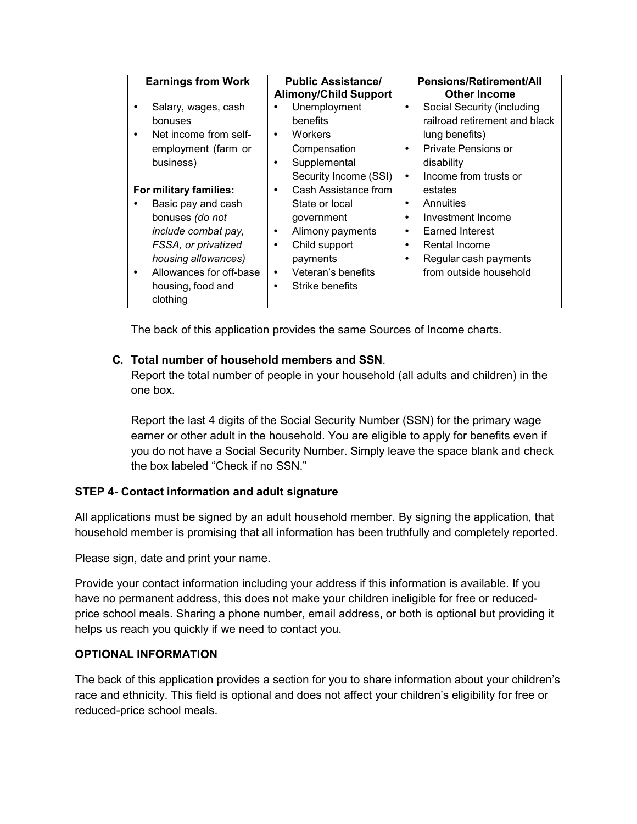| <b>Earnings from Work</b>                                                                                                                                                                             | <b>Public Assistance/</b><br><b>Alimony/Child Support</b>                                                                                                                                                                | Pensions/Retirement/All<br><b>Other Income</b>                                                                                                                                                                                  |
|-------------------------------------------------------------------------------------------------------------------------------------------------------------------------------------------------------|--------------------------------------------------------------------------------------------------------------------------------------------------------------------------------------------------------------------------|---------------------------------------------------------------------------------------------------------------------------------------------------------------------------------------------------------------------------------|
| Salary, wages, cash<br>bonuses<br>Net income from self-<br>٠<br>employment (farm or<br>business)                                                                                                      | Unemployment<br>$\bullet$<br>benefits<br>Workers<br>$\bullet$<br>Compensation<br>Supplemental<br>٠                                                                                                                       | Social Security (including<br>$\bullet$<br>railroad retirement and black<br>lung benefits)<br>Private Pensions or<br>$\bullet$<br>disability                                                                                    |
| For military families:<br>Basic pay and cash<br>bonuses (do not<br>include combat pay,<br>FSSA, or privatized<br>housing allowances)<br>Allowances for off-base<br>٠<br>housing, food and<br>clothing | Security Income (SSI)<br>Cash Assistance from<br>$\bullet$<br>State or local<br>government<br>Alimony payments<br>٠<br>Child support<br>$\bullet$<br>payments<br>Veteran's benefits<br>$\bullet$<br>Strike benefits<br>٠ | Income from trusts or<br>$\bullet$<br>estates<br>Annuities<br>$\bullet$<br>Investment Income<br>$\bullet$<br>Earned Interest<br>٠<br>Rental Income<br>$\bullet$<br>Regular cash payments<br>$\bullet$<br>from outside household |

The back of this application provides the same Sources of Income charts.

### **C. Total number of household members and SSN**.

Report the total number of people in your household (all adults and children) in the one box.

Report the last 4 digits of the Social Security Number (SSN) for the primary wage earner or other adult in the household. You are eligible to apply for benefits even if you do not have a Social Security Number. Simply leave the space blank and check the box labeled "Check if no SSN."

## **STEP 4- Contact information and adult signature**

All applications must be signed by an adult household member. By signing the application, that household member is promising that all information has been truthfully and completely reported.

Please sign, date and print your name.

Provide your contact information including your address if this information is available. If you have no permanent address, this does not make your children ineligible for free or reducedprice school meals. Sharing a phone number, email address, or both is optional but providing it helps us reach you quickly if we need to contact you.

#### **OPTIONAL INFORMATION**

The back of this application provides a section for you to share information about your children's race and ethnicity. This field is optional and does not affect your children's eligibility for free or reduced-price school meals.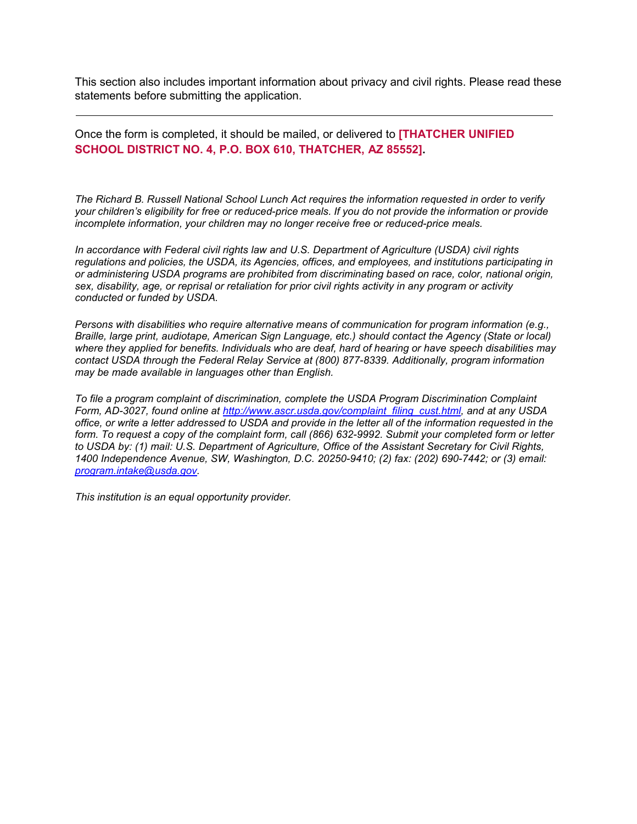This section also includes important information about privacy and civil rights. Please read these statements before submitting the application.

Once the form is completed, it should be mailed, or delivered to **[THATCHER UNIFIED SCHOOL DISTRICT NO. 4, P.O. BOX 610, THATCHER, AZ 85552].**

*The Richard B. Russell National School Lunch Act requires the information requested in order to verify* your children's eligibility for free or reduced-price meals. If you do not provide the information or provide *incomplete information, your children may no longer receive free or reduced-price meals.*

*In accordance with Federal civil rights law and U.S. Department of Agriculture (USDA) civil rights regulations and policies, the USDA, its Agencies, offices, and employees, and institutions participating in or administering USDA programs are prohibited from discriminating based on race, color, national origin, sex, disability, age, or reprisal or retaliation for prior civil rights activity in any program or activity conducted or funded by USDA.*

*Persons with disabilities who require alternative means of communication for program information (e.g., Braille, large print, audiotape, American Sign Language, etc.) should contact the Agency (State or local) where they applied for benefits. Individuals who are deaf, hard of hearing or have speech disabilities may contact USDA through the Federal Relay Service at (800) 877-8339. Additionally, program information may be made available in languages other than English.*

*To file a program complaint of discrimination, complete the USDA Program Discrimination Complaint Form, AD-3027, found online at [http://www.ascr.usda.gov/complaint\\_filing\\_cust.html, a](http://www.ascr.usda.gov/complaint_filing_cust.html)nd at any USDA office, or write a letter addressed to USDA and provide in the letter all of the information requested in the form. To request a copy of the complaint form, call (866) 632-9992. Submit your completed form or letter to USDA by: (1) mail: U.S. Department of Agriculture, Office of the Assistant Secretary for Civil Rights, 1400 Independence Avenue, SW, Washington, D.C. 20250-9410; (2) fax: (202) 690-7442; or (3) email: [program.intake@usda.gov.](mailto:program.intake@usda.gov)*

*This institution is an equal opportunity provider.*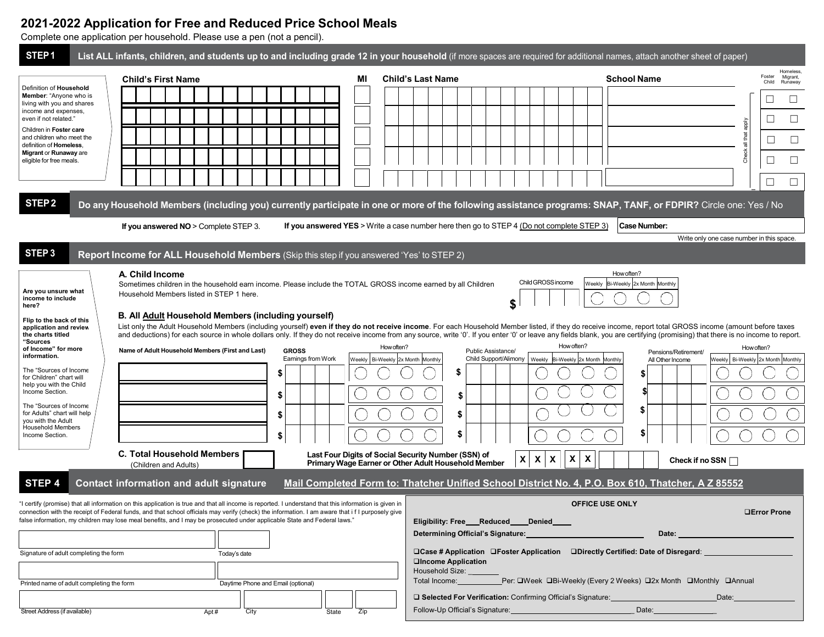### **2021-2022 Application for Free and Reduced Price School Meals**

Complete one application per household. Please use a pen (not a pencil).

| STEP <sub>1</sub>                                                                                                                                                                                                                                                                                                                                                                                                 |                                          | List ALL infants, children, and students up to and including grade 12 in your household (if more spaces are required for additional names, attach another sheet of paper)                                                                                                                                                                                                                                                                                                                                                                                                                                                                                                                                                                                 |                                                                                                                 |     |            |                                   |                                                                                                  |                                                |                         |                                                                                       |                                                                  |                                                                                          |                                           |                          |                                 |
|-------------------------------------------------------------------------------------------------------------------------------------------------------------------------------------------------------------------------------------------------------------------------------------------------------------------------------------------------------------------------------------------------------------------|------------------------------------------|-----------------------------------------------------------------------------------------------------------------------------------------------------------------------------------------------------------------------------------------------------------------------------------------------------------------------------------------------------------------------------------------------------------------------------------------------------------------------------------------------------------------------------------------------------------------------------------------------------------------------------------------------------------------------------------------------------------------------------------------------------------|-----------------------------------------------------------------------------------------------------------------|-----|------------|-----------------------------------|--------------------------------------------------------------------------------------------------|------------------------------------------------|-------------------------|---------------------------------------------------------------------------------------|------------------------------------------------------------------|------------------------------------------------------------------------------------------|-------------------------------------------|--------------------------|---------------------------------|
|                                                                                                                                                                                                                                                                                                                                                                                                                   | <b>Child's First Name</b>                |                                                                                                                                                                                                                                                                                                                                                                                                                                                                                                                                                                                                                                                                                                                                                           |                                                                                                                 | МI  |            | <b>Child's Last Name</b>          |                                                                                                  |                                                |                         |                                                                                       | <b>School Name</b>                                               |                                                                                          |                                           | Foster<br>Child          | Homeless<br>Migrant,<br>Runaway |
| Definition of Household<br>Member: "Anyone who is                                                                                                                                                                                                                                                                                                                                                                 |                                          |                                                                                                                                                                                                                                                                                                                                                                                                                                                                                                                                                                                                                                                                                                                                                           |                                                                                                                 |     |            |                                   |                                                                                                  |                                                |                         |                                                                                       |                                                                  |                                                                                          |                                           | ப                        | Ц                               |
| living with you and shares<br>income and expenses,<br>even if not related."                                                                                                                                                                                                                                                                                                                                       |                                          |                                                                                                                                                                                                                                                                                                                                                                                                                                                                                                                                                                                                                                                                                                                                                           |                                                                                                                 |     |            |                                   |                                                                                                  |                                                |                         |                                                                                       |                                                                  |                                                                                          |                                           |                          | $\Box$                          |
| Children in Foster care                                                                                                                                                                                                                                                                                                                                                                                           |                                          |                                                                                                                                                                                                                                                                                                                                                                                                                                                                                                                                                                                                                                                                                                                                                           |                                                                                                                 |     |            |                                   |                                                                                                  |                                                |                         |                                                                                       |                                                                  |                                                                                          | all that apply                            |                          |                                 |
| and children who meet the<br>definition of Homeless,<br>Migrant or Runaway are                                                                                                                                                                                                                                                                                                                                    |                                          |                                                                                                                                                                                                                                                                                                                                                                                                                                                                                                                                                                                                                                                                                                                                                           |                                                                                                                 |     |            |                                   |                                                                                                  |                                                |                         |                                                                                       |                                                                  |                                                                                          |                                           | ⊔                        | $\Box$                          |
| eligible for free meals.                                                                                                                                                                                                                                                                                                                                                                                          |                                          |                                                                                                                                                                                                                                                                                                                                                                                                                                                                                                                                                                                                                                                                                                                                                           |                                                                                                                 |     |            |                                   |                                                                                                  |                                                |                         |                                                                                       |                                                                  |                                                                                          | Check                                     | $\overline{\phantom{a}}$ | □                               |
|                                                                                                                                                                                                                                                                                                                                                                                                                   |                                          |                                                                                                                                                                                                                                                                                                                                                                                                                                                                                                                                                                                                                                                                                                                                                           |                                                                                                                 |     |            |                                   |                                                                                                  |                                                |                         |                                                                                       |                                                                  |                                                                                          |                                           |                          | $\Box$                          |
| STEP <sub>2</sub>                                                                                                                                                                                                                                                                                                                                                                                                 |                                          | Do any Household Members (including you) currently participate in one or more of the following assistance programs: SNAP, TANF, or FDPIR? Circle one: Yes / No                                                                                                                                                                                                                                                                                                                                                                                                                                                                                                                                                                                            |                                                                                                                 |     |            |                                   |                                                                                                  |                                                |                         |                                                                                       |                                                                  |                                                                                          |                                           |                          |                                 |
|                                                                                                                                                                                                                                                                                                                                                                                                                   |                                          | If you answered $NO >$ Complete STEP 3.                                                                                                                                                                                                                                                                                                                                                                                                                                                                                                                                                                                                                                                                                                                   | If you answered YES > Write a case number here then go to STEP 4 (Do not complete STEP 3)                       |     |            |                                   |                                                                                                  |                                                |                         |                                                                                       | Case Number:                                                     |                                                                                          |                                           |                          |                                 |
|                                                                                                                                                                                                                                                                                                                                                                                                                   |                                          |                                                                                                                                                                                                                                                                                                                                                                                                                                                                                                                                                                                                                                                                                                                                                           |                                                                                                                 |     |            |                                   |                                                                                                  |                                                |                         |                                                                                       |                                                                  |                                                                                          | Write only one case number in this space. |                          |                                 |
| STEP <sub>3</sub>                                                                                                                                                                                                                                                                                                                                                                                                 |                                          | Report Income for ALL Household Members (Skip this step if you answered 'Yes' to STEP 2)                                                                                                                                                                                                                                                                                                                                                                                                                                                                                                                                                                                                                                                                  |                                                                                                                 |     |            |                                   |                                                                                                  |                                                |                         |                                                                                       |                                                                  |                                                                                          |                                           |                          |                                 |
| Are you unsure what<br>income to include<br>here?<br>Flip to the back of this<br>application and review<br>the charts titled<br>"Sources<br>of Income" for more<br>information.<br>The "Sources of Income<br>for Children" chart will<br>help you with the Child<br>Income Section.<br>The "Sources of Income<br>for Adults" chart will help<br>you with the Adult<br><b>Household Members</b><br>Income Section. | A. Child Income<br>(Children and Adults) | Sometimes children in the household earn income. Please include the TOTAL GROSS income earned by all Children<br>Household Members listed in STEP 1 here.<br>B. All Adult Household Members (including yourself)<br>List only the Adult Household Members (including yourself) even if they do not receive income. For each Household Member listed, if they do receive income, report total GROSS income (amount before taxes<br>and deductions) for each source in whole dollars only. If they do not receive income from any source, write '0'. If you enter '0' or leave any fields blank, you are certifying (promising) that there is no income to report.<br>Name of Adult Household Members (First and Last)<br><b>C. Total Household Members</b> | <b>GROSS</b><br>Earnings from Work<br>\$<br>S<br>S<br>\$<br>Last Four Digits of Social Security Number (SSN) of |     | How often? | Weekly Bi-Weekly 2x Month Monthly | Public Assistance/<br>S<br>\$<br>\$<br>\$<br>Primary Wage Earner or Other Adult Household Member | \$<br>$\pmb{\mathsf{X}}$<br>$\pmb{\mathsf{x}}$ | Child GROSS income<br>X | How often?<br>Child Support/Alimony   Weekly   Bi-Weekly   2x Month Monthly<br>X<br>Χ | How often?<br>Weekly Bi-Weekly 2x Month Monthly<br>\$<br>S<br>\$ | Pensions/Retirement/<br>All Other Income<br>Check if no SSN                              | Weekly Bi-Weekly 2x Month Monthly         | How often?               |                                 |
| STEP 4                                                                                                                                                                                                                                                                                                                                                                                                            |                                          | <b>Contact information and adult signature</b>                                                                                                                                                                                                                                                                                                                                                                                                                                                                                                                                                                                                                                                                                                            | Mail Completed Form to: Thatcher Unified School District No. 4, P.O. Box 610, Thatcher, A Z 85552               |     |            |                                   |                                                                                                  |                                                |                         |                                                                                       |                                                                  |                                                                                          |                                           |                          |                                 |
| Signature of adult completing the form                                                                                                                                                                                                                                                                                                                                                                            |                                          | "I certify (promise) that all information on this application is true and that all income is reported. I understand that this information is given in<br>connection with the receipt of Federal funds, and that school officials may verify (check) the information. I am aware that if I purposely give<br>false information, my children may lose meal benefits, and I may be prosecuted under applicable State and Federal laws."<br>Today's date                                                                                                                                                                                                                                                                                                      |                                                                                                                 |     |            |                                   | Eligibility: Free Reduced Denied<br>Determining Official's Signature:                            |                                                |                         | <b>OFFICE USE ONLY</b>                                                                |                                                                  | Date:<br>□Case # Application □Foster Application □Directly Certified: Date of Disregard: |                                           | <b>OError Prone</b>      |                                 |
|                                                                                                                                                                                                                                                                                                                                                                                                                   |                                          |                                                                                                                                                                                                                                                                                                                                                                                                                                                                                                                                                                                                                                                                                                                                                           |                                                                                                                 |     |            | Household Size:                   | □Income Application                                                                              |                                                |                         |                                                                                       |                                                                  |                                                                                          |                                           |                          |                                 |
| Printed name of adult completing the form                                                                                                                                                                                                                                                                                                                                                                         |                                          |                                                                                                                                                                                                                                                                                                                                                                                                                                                                                                                                                                                                                                                                                                                                                           | Daytime Phone and Email (optional)                                                                              |     |            |                                   |                                                                                                  |                                                |                         |                                                                                       |                                                                  | Total Income: __________Per: □Week □Bi-Weekly (Every 2 Weeks) □2x Month □Monthly □Annual |                                           |                          |                                 |
| Street Address (if available)                                                                                                                                                                                                                                                                                                                                                                                     |                                          | City<br>Apt#                                                                                                                                                                                                                                                                                                                                                                                                                                                                                                                                                                                                                                                                                                                                              | State                                                                                                           | Zip |            |                                   | Follow-Up Official's Signature:<br><u>Follow-Up Official's Signature:</u>                        |                                                |                         |                                                                                       |                                                                  | □ Selected For Verification: Confirming Official's Signature:<br>Date: 2008              | Date:                                     |                          |                                 |